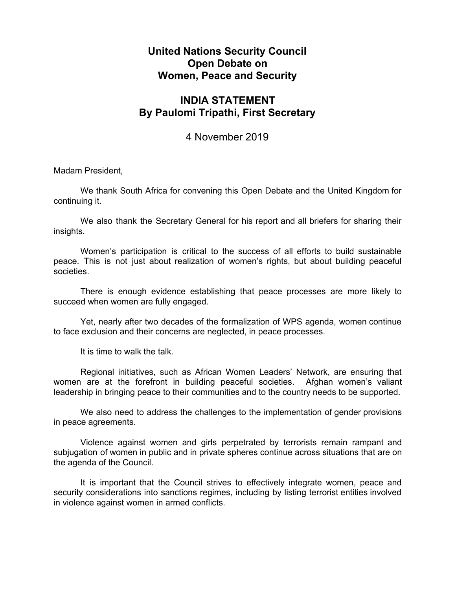## **United Nations Security Council Open Debate on Women, Peace and Security**

## **INDIA STATEMENT By Paulomi Tripathi, First Secretary**

## 4 November 2019

Madam President,

We thank South Africa for convening this Open Debate and the United Kingdom for continuing it.

We also thank the Secretary General for his report and all briefers for sharing their insights.

Women's participation is critical to the success of all efforts to build sustainable peace. This is not just about realization of women's rights, but about building peaceful societies.

There is enough evidence establishing that peace processes are more likely to succeed when women are fully engaged.

Yet, nearly after two decades of the formalization of WPS agenda, women continue to face exclusion and their concerns are neglected, in peace processes.

It is time to walk the talk.

Regional initiatives, such as African Women Leaders' Network, are ensuring that women are at the forefront in building peaceful societies. Afghan women's valiant leadership in bringing peace to their communities and to the country needs to be supported.

We also need to address the challenges to the implementation of gender provisions in peace agreements.

Violence against women and girls perpetrated by terrorists remain rampant and subjugation of women in public and in private spheres continue across situations that are on the agenda of the Council.

It is important that the Council strives to effectively integrate women, peace and security considerations into sanctions regimes, including by listing terrorist entities involved in violence against women in armed conflicts.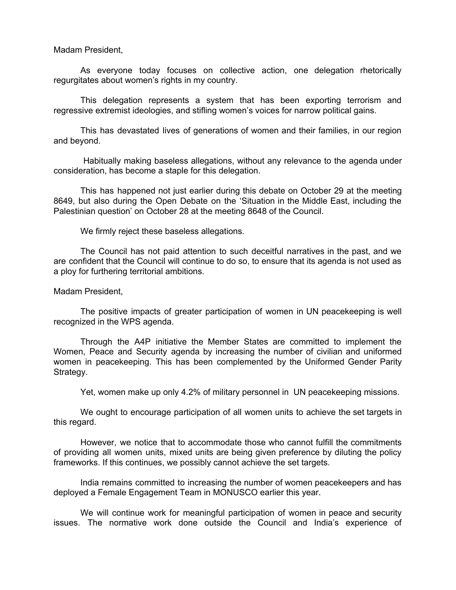Madam President,

As everyone today focuses on collective action, one delegation rhetorically regurgitates about women's rights in my country.

This delegation represents a system that has been exporting terrorism and regressive extremist ideologies, and stifling women's voices for narrow political gains.

This has devastated lives of generations of women and their families, in our region and beyond.

Habitually making baseless allegations, without any relevance to the agenda under consideration, has become a staple for this delegation.

This has happened not just earlier during this debate on October 29 at the meeting 8649, but also during the Open Debate on the 'Situation in the Middle East, including the Palestinian question' on October 28 at the meeting 8648 of the Council.

We firmly reject these baseless allegations.

The Council has not paid attention to such deceitful narratives in the past, and we are confident that the Council will continue to do so, to ensure that its agenda is not used as a ploy for furthering territorial ambitions.

## Madam President,

The positive impacts of greater participation of women in UN peacekeeping is well recognized in the WPS agenda.

Through the A4P initiative the Member States are committed to implement the Women, Peace and Security agenda by increasing the number of civilian and uniformed women in peacekeeping. This has been complemented by the Uniformed Gender Parity Strategy.

Yet, women make up only 4.2% of military personnel in UN peacekeeping missions.

We ought to encourage participation of all women units to achieve the set targets in this regard.

However, we notice that to accommodate those who cannot fulfill the commitments of providing all women units, mixed units are being given preference by diluting the policy frameworks. If this continues, we possibly cannot achieve the set targets.

India remains committed to increasing the number of women peacekeepers and has deployed a Female Engagement Team in MONUSCO earlier this year.

We will continue work for meaningful participation of women in peace and security issues. The normative work done outside the Council and India's experience of